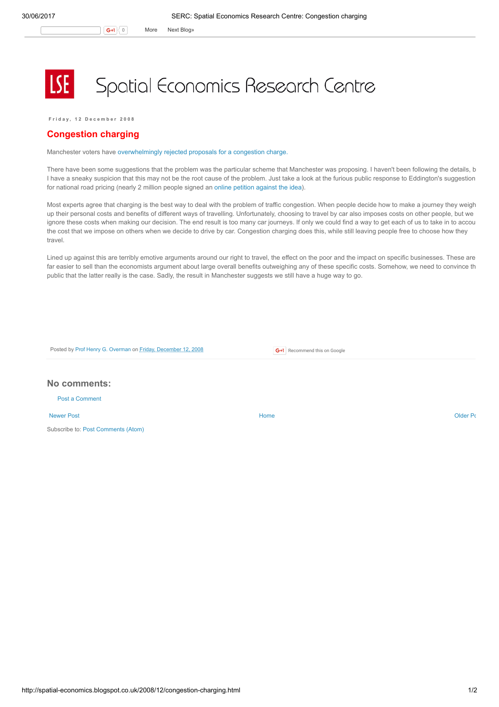## Spatial Economics Research Centre

Friday 12 December 2008

## Congestion charging

Manchester voters have [overwhelmingly](http://www.ft.com/cms/s/0/8e76a124-c856-11dd-b86f-000077b07658.html) rejected proposals for a congestion charge.

There have been some suggestions that the problem was the particular scheme that Manchester was proposing. I haven't been following the details, b I have a sneaky suspicion that this may not be the root cause of the problem. Just take a look at the furious public response to Eddington's suggestion for national road pricing (nearly 2 million people signed an online [petition](http://news.bbc.co.uk/1/hi/uk_politics/7276634.stm) against the idea).

Most experts agree that charging is the best way to deal with the problem of traffic congestion. When people decide how to make a journey they weigh up their personal costs and benefits of different ways of travelling. Unfortunately, choosing to travel by car also imposes costs on other people, but we ignore these costs when making our decision. The end result is too many car journeys. If only we could find a way to get each of us to take in to accou the cost that we impose on others when we decide to drive by car. Congestion charging does this, while still leaving people free to choose how they travel.

Lined up against this are terribly emotive arguments around our right to travel, the effect on the poor and the impact on specific businesses. These are far easier to sell than the economists argument about large overall benefits outweighing any of these specific costs. Somehow, we need to convince th public that the latter really is the case. Sadly, the result in Manchester suggests we still have a huge way to go.

Posted by Prof Henry G. [Overman](https://www.blogger.com/profile/15203876610491317062) on Friday, [December](http://spatial-economics.blogspot.co.uk/2008/12/congestion-charging.html) 12, 2008

**G+1** Recommend this on Google

## No comments:

Post a [Comment](https://www.blogger.com/comment.g?blogID=974562301377041914&postID=4230707587024581631)

[Newer](http://spatial-economics.blogspot.co.uk/2008/12/its-christmas-time.html) Post **New Account Contract Account Contract Account Contract Account Contract Account Contract [Older](http://spatial-economics.blogspot.co.uk/2008/12/changing-uk.html) Post** 

Subscribe to: Post [Comments](http://spatial-economics.blogspot.com/feeds/4230707587024581631/comments/default) (Atom)